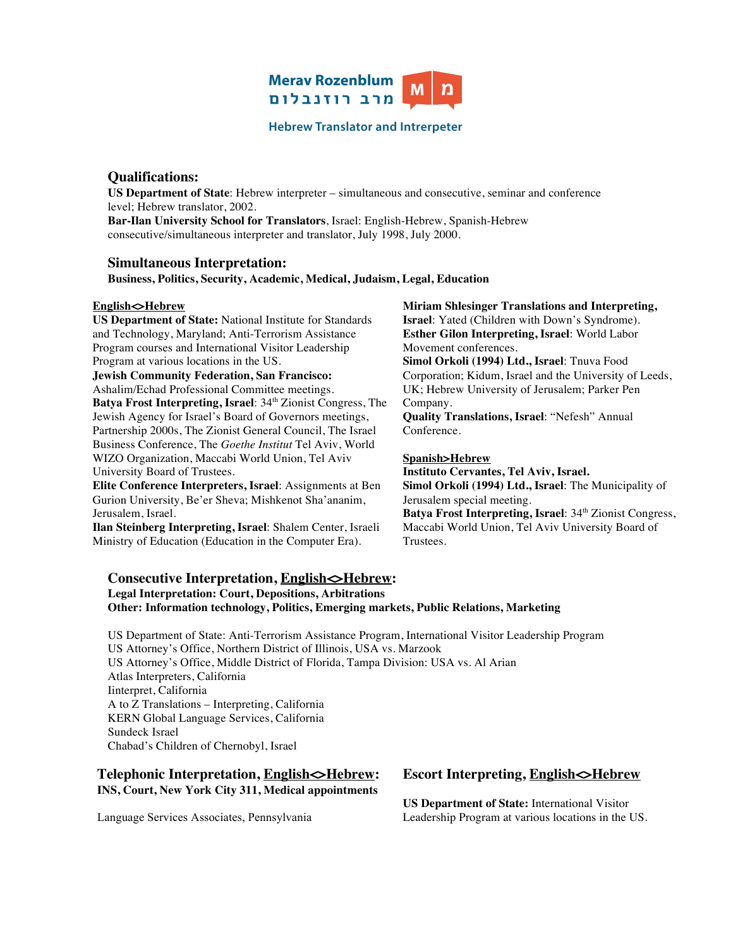

### **Hebrew Translator and Intrerpeter**

# **Qualifications:**

**US Department of State**: Hebrew interpreter – simultaneous and consecutive, seminar and conference level; Hebrew translator, 2002.

**Bar-Ilan University School for Translators**, Israel: English-Hebrew, Spanish-Hebrew consecutive/simultaneous interpreter and translator, July 1998, July 2000.

## **Simultaneous Interpretation:**

**Business, Politics, Security, Academic, Medical, Judaism, Legal, Education**

#### **English<>Hebrew**

**US Department of State:** National Institute for Standards and Technology, Maryland; Anti-Terrorism Assistance Program courses and International Visitor Leadership Program at various locations in the US.

**Jewish Community Federation, San Francisco:**  Ashalim/Echad Professional Committee meetings. **Batya Frost Interpreting, Israel:** 34<sup>th</sup> Zionist Congress, The Jewish Agency for Israel's Board of Governors meetings, Partnership 2000s, The Zionist General Council, The Israel Business Conference, The *Goethe Institut* Tel Aviv, World

WIZO Organization, Maccabi World Union, Tel Aviv University Board of Trustees.

**Elite Conference Interpreters, Israel**: Assignments at Ben Gurion University, Be'er Sheva; Mishkenot Sha'ananim, Jerusalem, Israel.

**Ilan Steinberg Interpreting, Israel**: Shalem Center, Israeli Ministry of Education (Education in the Computer Era).

#### **Miriam Shlesinger Translations and Interpreting,**

**Israel**: Yated (Children with Down's Syndrome). **Esther Gilon Interpreting, Israel**: World Labor Movement conferences.

**Simol Orkoli (1994) Ltd., Israel**: Tnuva Food Corporation; Kidum, Israel and the University of Leeds, UK; Hebrew University of Jerusalem; Parker Pen Company.

**Quality Translations, Israel**: "Nefesh" Annual Conference.

#### **Spanish>Hebrew**

**Instituto Cervantes, Tel Aviv, Israel. Simol Orkoli (1994) Ltd., Israel**: The Municipality of Jerusalem special meeting.

**Batya Frost Interpreting, Israel:** 34<sup>th</sup> Zionist Congress, Maccabi World Union, Tel Aviv University Board of Trustees.

#### **Consecutive Interpretation, English SHebrew: Legal Interpretation: Court, Depositions, Arbitrations Other: Information technology, Politics, Emerging markets, Public Relations, Marketing**

US Department of State: Anti-Terrorism Assistance Program, International Visitor Leadership Program US Attorney's Office, Northern District of Illinois, USA vs. Marzook US Attorney's Office, Middle District of Florida, Tampa Division: USA vs. Al Arian Atlas Interpreters, California Iinterpret, California A to Z Translations – Interpreting, California KERN Global Language Services, California Sundeck Israel Chabad's Children of Chernobyl, Israel

## **Telephonic Interpretation, English<>Hebrew: INS, Court, New York City 311, Medical appointments**

Language Services Associates, Pennsylvania

# **Escort Interpreting, English<>Hebrew**

**US Department of State:** International Visitor Leadership Program at various locations in the US.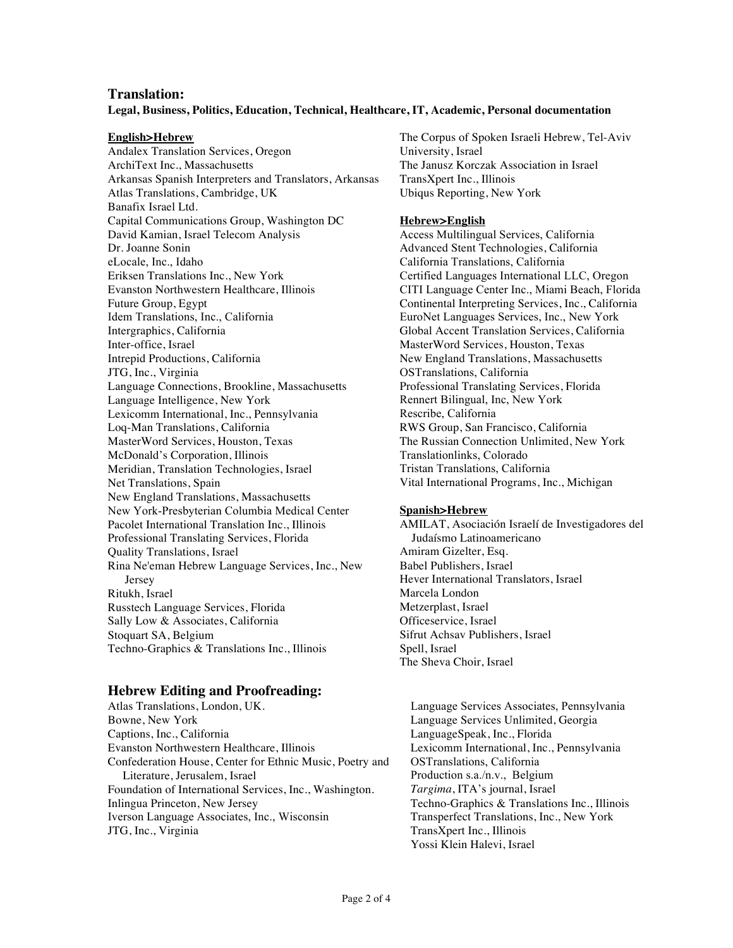### **Translation:**

#### **Legal, Business, Politics, Education, Technical, Healthcare, IT, Academic, Personal documentation**

#### **English>Hebrew**

Andalex Translation Services, Oregon ArchiText Inc., Massachusetts Arkansas Spanish Interpreters and Translators, Arkansas Atlas Translations, Cambridge, UK Banafix Israel Ltd. Capital Communications Group, Washington DC David Kamian, Israel Telecom Analysis Dr. Joanne Sonin eLocale, Inc., Idaho Eriksen Translations Inc., New York Evanston Northwestern Healthcare, Illinois Future Group, Egypt Idem Translations, Inc., California Intergraphics, California Inter-office, Israel Intrepid Productions, California JTG, Inc., Virginia Language Connections, Brookline, Massachusetts Language Intelligence, New York Lexicomm International, Inc., Pennsylvania Loq-Man Translations, California MasterWord Services, Houston, Texas McDonald's Corporation, Illinois Meridian, Translation Technologies, Israel Net Translations, Spain New England Translations, Massachusetts New York-Presbyterian Columbia Medical Center Pacolet International Translation Inc., Illinois Professional Translating Services, Florida Quality Translations, Israel Rina Ne'eman Hebrew Language Services, Inc., New Jersey Ritukh, Israel Russtech Language Services, Florida Sally Low & Associates, California Stoquart SA, Belgium Techno-Graphics & Translations Inc., Illinois

#### **Hebrew Editing and Proofreading:**

Atlas Translations, London, UK. Bowne, New York Captions, Inc., California Evanston Northwestern Healthcare, Illinois Confederation House, Center for Ethnic Music, Poetry and Literature, Jerusalem, Israel Foundation of International Services, Inc., Washington. Inlingua Princeton, New Jersey Iverson Language Associates, Inc., Wisconsin JTG, Inc., Virginia

The Corpus of Spoken Israeli Hebrew, Tel-Aviv University, Israel The Janusz Korczak Association in Israel TransXpert Inc., Illinois Ubiqus Reporting, New York

#### **Hebrew>English**

Access Multilingual Services, California Advanced Stent Technologies, California California Translations, California Certified Languages International LLC, Oregon CITI Language Center Inc., Miami Beach, Florida Continental Interpreting Services, Inc., California EuroNet Languages Services, Inc., New York Global Accent Translation Services, California MasterWord Services, Houston, Texas New England Translations, Massachusetts OSTranslations, California Professional Translating Services, Florida Rennert Bilingual, Inc, New York Rescribe, California RWS Group, San Francisco, California The Russian Connection Unlimited, New York Translationlinks, Colorado Tristan Translations, California Vital International Programs, Inc., Michigan

#### **Spanish>Hebrew**

AMILAT, Asociación Israelí de Investigadores del Judaísmo Latinoamericano Amiram Gizelter, Esq. Babel Publishers, Israel Hever International Translators, Israel Marcela London Metzerplast, Israel Officeservice, Israel Sifrut Achsav Publishers, Israel Spell, Israel The Sheva Choir, Israel

Language Services Associates, Pennsylvania Language Services Unlimited, Georgia LanguageSpeak, Inc., Florida Lexicomm International, Inc., Pennsylvania OSTranslations, California Production s.a./n.v., Belgium *Targima*, ITA's journal, Israel Techno-Graphics & Translations Inc., Illinois Transperfect Translations, Inc., New York TransXpert Inc., Illinois Yossi Klein Halevi, Israel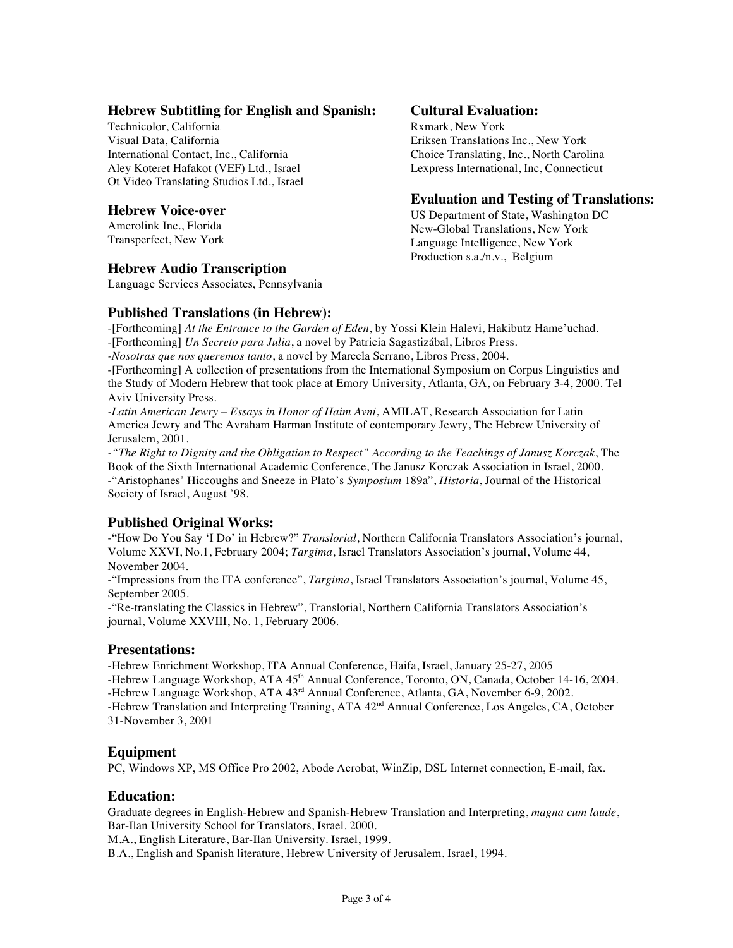## **Hebrew Subtitling for English and Spanish:**

Technicolor, California Visual Data, California International Contact, Inc., California Aley Koteret Hafakot (VEF) Ltd., Israel Ot Video Translating Studios Ltd., Israel

## **Hebrew Voice-over**

Amerolink Inc., Florida Transperfect, New York

# **Hebrew Audio Transcription**

Language Services Associates, Pennsylvania

## **Published Translations (in Hebrew):**

# -[Forthcoming] *At the Entrance to the Garden of Eden*, by Yossi Klein Halevi, Hakibutz Hame'uchad.

-[Forthcoming] *Un Secreto para Julia*, a novel by Patricia Sagastizábal, Libros Press.

*-Nosotras que nos queremos tanto*, a novel by Marcela Serrano, Libros Press, 2004.

-[Forthcoming] A collection of presentations from the International Symposium on Corpus Linguistics and the Study of Modern Hebrew that took place at Emory University, Atlanta, GA, on February 3-4, 2000. Tel Aviv University Press.

*-Latin American Jewry – Essays in Honor of Haim Avni*, AMILAT, Research Association for Latin America Jewry and The Avraham Harman Institute of contemporary Jewry, The Hebrew University of Jerusalem, 2001.

*-"The Right to Dignity and the Obligation to Respect" According to the Teachings of Janusz Korczak*, The Book of the Sixth International Academic Conference, The Janusz Korczak Association in Israel, 2000. -"Aristophanes' Hiccoughs and Sneeze in Plato's *Symposium* 189a", *Historia*, Journal of the Historical Society of Israel, August '98.

# **Published Original Works:**

-"How Do You Say 'I Do' in Hebrew?" *Translorial*, Northern California Translators Association's journal, Volume XXVI, No.1, February 2004; *Targima*, Israel Translators Association's journal, Volume 44, November 2004.

-"Impressions from the ITA conference", *Targima*, Israel Translators Association's journal, Volume 45, September 2005.

-"Re-translating the Classics in Hebrew", Translorial, Northern California Translators Association's journal, Volume XXVIII, No. 1, February 2006.

## **Presentations:**

-Hebrew Enrichment Workshop, ITA Annual Conference, Haifa, Israel, January 25-27, 2005 -Hebrew Language Workshop, ATA 45<sup>th</sup> Annual Conference, Toronto, ON, Canada, October 14-16, 2004. -Hebrew Language Workshop, ATA 43<sup>rd</sup> Annual Conference, Atlanta, GA, November 6-9, 2002. -Hebrew Translation and Interpreting Training, ATA 42<sup>nd</sup> Annual Conference, Los Angeles, CA, October 31-November 3, 2001

## **Equipment**

PC, Windows XP, MS Office Pro 2002, Abode Acrobat, WinZip, DSL Internet connection, E-mail, fax.

## **Education:**

Graduate degrees in English-Hebrew and Spanish-Hebrew Translation and Interpreting, *magna cum laude*, Bar-Ilan University School for Translators, Israel. 2000.

M.A., English Literature, Bar-Ilan University. Israel, 1999.

B.A., English and Spanish literature, Hebrew University of Jerusalem. Israel, 1994.

# **Cultural Evaluation:**

Rxmark, New York Eriksen Translations Inc., New York Choice Translating, Inc., North Carolina Lexpress International, Inc, Connecticut

## **Evaluation and Testing of Translations:**

US Department of State, Washington DC New-Global Translations, New York Language Intelligence, New York Production s.a./n.v., Belgium